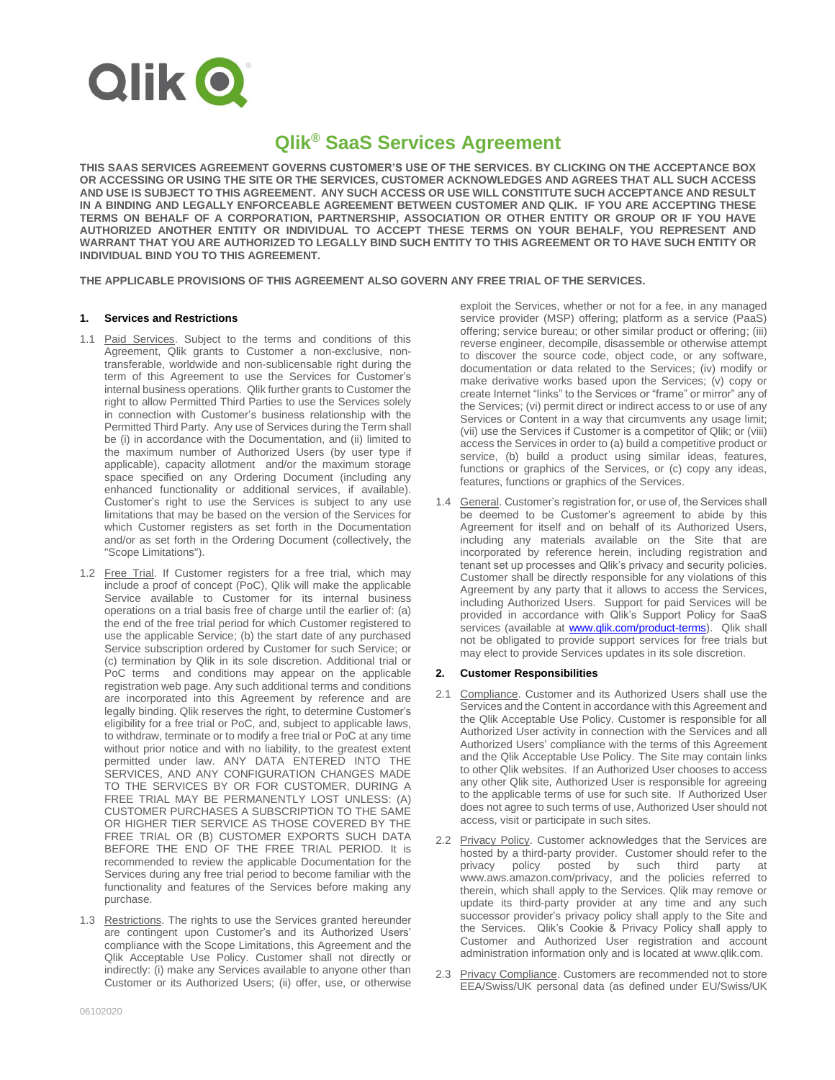

# **Qlik® SaaS Services Agreement**

**THIS SAAS SERVICES AGREEMENT GOVERNS CUSTOMER'S USE OF THE SERVICES. BY CLICKING ON THE ACCEPTANCE BOX OR ACCESSING OR USING THE SITE OR THE SERVICES, CUSTOMER ACKNOWLEDGES AND AGREES THAT ALL SUCH ACCESS AND USE IS SUBJECT TO THIS AGREEMENT. ANY SUCH ACCESS OR USE WILL CONSTITUTE SUCH ACCEPTANCE AND RESULT IN A BINDING AND LEGALLY ENFORCEABLE AGREEMENT BETWEEN CUSTOMER AND QLIK. IF YOU ARE ACCEPTING THESE TERMS ON BEHALF OF A CORPORATION, PARTNERSHIP, ASSOCIATION OR OTHER ENTITY OR GROUP OR IF YOU HAVE AUTHORIZED ANOTHER ENTITY OR INDIVIDUAL TO ACCEPT THESE TERMS ON YOUR BEHALF, YOU REPRESENT AND WARRANT THAT YOU ARE AUTHORIZED TO LEGALLY BIND SUCH ENTITY TO THIS AGREEMENT OR TO HAVE SUCH ENTITY OR INDIVIDUAL BIND YOU TO THIS AGREEMENT.**

**THE APPLICABLE PROVISIONS OF THIS AGREEMENT ALSO GOVERN ANY FREE TRIAL OF THE SERVICES.** 

## **1. Services and Restrictions**

- 1.1 Paid Services. Subject to the terms and conditions of this Agreement, Qlik grants to Customer a non-exclusive, nontransferable, worldwide and non-sublicensable right during the term of this Agreement to use the Services for Customer's internal business operations. Qlik further grants to Customer the right to allow Permitted Third Parties to use the Services solely in connection with Customer's business relationship with the Permitted Third Party. Any use of Services during the Term shall be (i) in accordance with the Documentation, and (ii) limited to the maximum number of Authorized Users (by user type if applicable), capacity allotment and/or the maximum storage space specified on any Ordering Document (including any enhanced functionality or additional services, if available). Customer's right to use the Services is subject to any use limitations that may be based on the version of the Services for which Customer registers as set forth in the Documentation and/or as set forth in the Ordering Document (collectively, the "Scope Limitations").
- 1.2 Free Trial. If Customer registers for a free trial, which may include a proof of concept (PoC), Qlik will make the applicable Service available to Customer for its internal business operations on a trial basis free of charge until the earlier of: (a) the end of the free trial period for which Customer registered to use the applicable Service; (b) the start date of any purchased Service subscription ordered by Customer for such Service; or (c) termination by Qlik in its sole discretion. Additional trial or PoC terms and conditions may appear on the applicable registration web page. Any such additional terms and conditions are incorporated into this Agreement by reference and are legally binding. Qlik reserves the right, to determine Customer's eligibility for a free trial or PoC, and, subject to applicable laws, to withdraw, terminate or to modify a free trial or PoC at any time without prior notice and with no liability, to the greatest extent permitted under law. ANY DATA ENTERED INTO THE SERVICES, AND ANY CONFIGURATION CHANGES MADE TO THE SERVICES BY OR FOR CUSTOMER, DURING A FREE TRIAL MAY BE PERMANENTLY LOST UNLESS: (A) CUSTOMER PURCHASES A SUBSCRIPTION TO THE SAME OR HIGHER TIER SERVICE AS THOSE COVERED BY THE FREE TRIAL OR (B) CUSTOMER EXPORTS SUCH DATA BEFORE THE END OF THE FREE TRIAL PERIOD. It is recommended to review the applicable Documentation for the Services during any free trial period to become familiar with the functionality and features of the Services before making any purchase.
- 1.3 Restrictions. The rights to use the Services granted hereunder are contingent upon Customer's and its Authorized Users' compliance with the Scope Limitations, this Agreement and the Qlik Acceptable Use Policy. Customer shall not directly or indirectly: (i) make any Services available to anyone other than Customer or its Authorized Users; (ii) offer, use, or otherwise

exploit the Services, whether or not for a fee, in any managed service provider (MSP) offering; platform as a service (PaaS) offering; service bureau; or other similar product or offering; (iii) reverse engineer, decompile, disassemble or otherwise attempt to discover the source code, object code, or any software, documentation or data related to the Services; (iv) modify or make derivative works based upon the Services; (v) copy or create Internet "links" to the Services or "frame" or mirror" any of the Services; (vi) permit direct or indirect access to or use of any Services or Content in a way that circumvents any usage limit; (vii) use the Services if Customer is a competitor of Qlik; or (viii) access the Services in order to (a) build a competitive product or service, (b) build a product using similar ideas, features, functions or graphics of the Services, or (c) copy any ideas. features, functions or graphics of the Services.

1.4 General. Customer's registration for, or use of, the Services shall be deemed to be Customer's agreement to abide by this Agreement for itself and on behalf of its Authorized Users, including any materials available on the Site that are incorporated by reference herein, including registration and tenant set up processes and Qlik's privacy and security policies. Customer shall be directly responsible for any violations of this Agreement by any party that it allows to access the Services, including Authorized Users. Support for paid Services will be provided in accordance with Qlik's Support Policy for SaaS services (available at **www.qlik.com/product-terms)**. Qlik shall not be obligated to provide support services for free trials but may elect to provide Services updates in its sole discretion.

# **2. Customer Responsibilities**

- 2.1 Compliance. Customer and its Authorized Users shall use the Services and the Content in accordance with this Agreement and the Qlik Acceptable Use Policy. Customer is responsible for all Authorized User activity in connection with the Services and all Authorized Users' compliance with the terms of this Agreement and the Qlik Acceptable Use Policy. The Site may contain links to other Qlik websites. If an Authorized User chooses to access any other Qlik site, Authorized User is responsible for agreeing to the applicable terms of use for such site. If Authorized User does not agree to such terms of use, Authorized User should not access, visit or participate in such sites.
- 2.2 Privacy Policy. Customer acknowledges that the Services are hosted by a third-party provider. Customer should refer to the privacy policy posted by such third party at privacy policy posted by such third party at www.aws.amazon.com/privacy, and the policies referred to therein, which shall apply to the Services. Qlik may remove or update its third-party provider at any time and any such successor provider's privacy policy shall apply to the Site and the Services. Qlik's Cookie & Privacy Policy shall apply to Customer and Authorized User registration and account administration information only and is located at www.qlik.com.
- 2.3 Privacy Compliance. Customers are recommended not to store EEA/Swiss/UK personal data (as defined under EU/Swiss/UK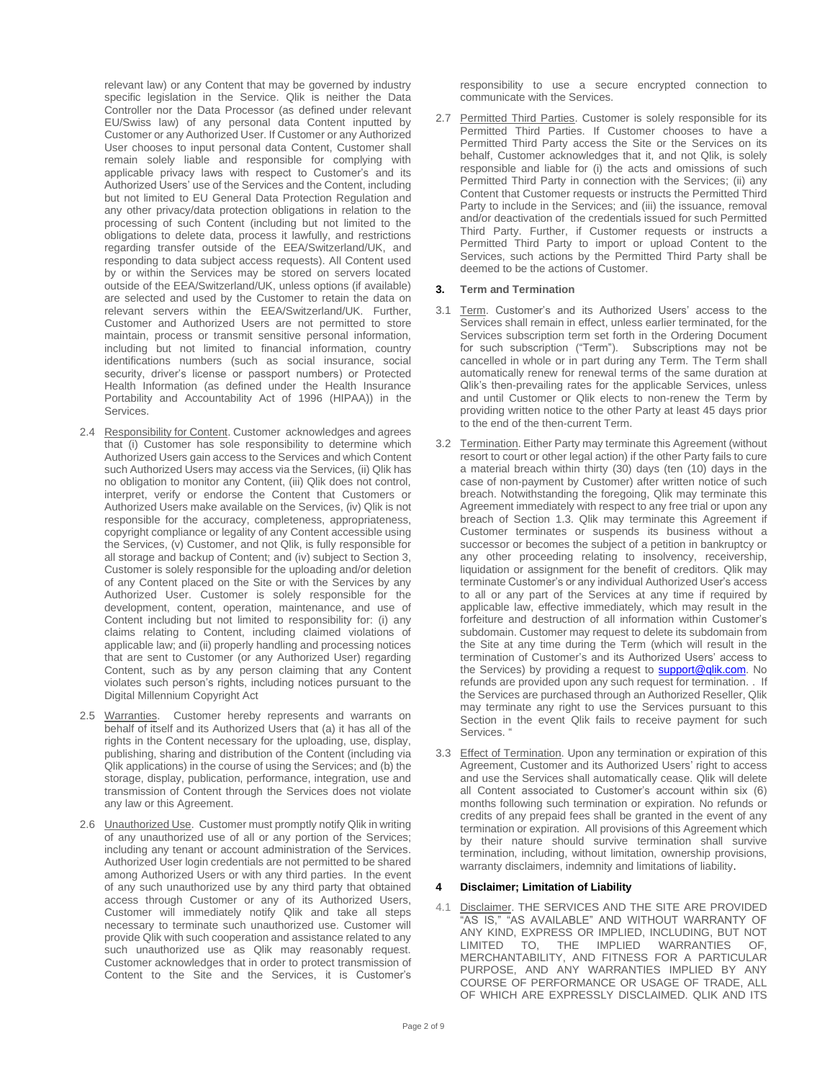relevant law) or any Content that may be governed by industry specific legislation in the Service. Qlik is neither the Data Controller nor the Data Processor (as defined under relevant EU/Swiss law) of any personal data Content inputted by Customer or any Authorized User. If Customer or any Authorized User chooses to input personal data Content, Customer shall remain solely liable and responsible for complying with applicable privacy laws with respect to Customer's and its Authorized Users' use of the Services and the Content, including but not limited to EU General Data Protection Regulation and any other privacy/data protection obligations in relation to the processing of such Content (including but not limited to the obligations to delete data, process it lawfully, and restrictions regarding transfer outside of the EEA/Switzerland/UK, and responding to data subject access requests). All Content used by or within the Services may be stored on servers located outside of the EEA/Switzerland/UK, unless options (if available) are selected and used by the Customer to retain the data on relevant servers within the EEA/Switzerland/UK. Further, Customer and Authorized Users are not permitted to store maintain, process or transmit sensitive personal information, including but not limited to financial information, country identifications numbers (such as social insurance, social security, driver's license or passport numbers) or Protected Health Information (as defined under the Health Insurance Portability and Accountability Act of 1996 (HIPAA)) in the Services.

- 2.4 Responsibility for Content. Customer acknowledges and agrees that (i) Customer has sole responsibility to determine which Authorized Users gain access to the Services and which Content such Authorized Users may access via the Services, (ii) Qlik has no obligation to monitor any Content, (iii) Qlik does not control, interpret, verify or endorse the Content that Customers or Authorized Users make available on the Services, (iv) Qlik is not responsible for the accuracy, completeness, appropriateness, copyright compliance or legality of any Content accessible using the Services, (v) Customer, and not Qlik, is fully responsible for all storage and backup of Content; and (iv) subject to Section 3, Customer is solely responsible for the uploading and/or deletion of any Content placed on the Site or with the Services by any Authorized User. Customer is solely responsible for the development, content, operation, maintenance, and use of Content including but not limited to responsibility for: (i) any claims relating to Content, including claimed violations of applicable law; and (ii) properly handling and processing notices that are sent to Customer (or any Authorized User) regarding Content, such as by any person claiming that any Content violates such person's rights, including notices pursuant to the Digital Millennium Copyright Act
- 2.5 Warranties. Customer hereby represents and warrants on behalf of itself and its Authorized Users that (a) it has all of the rights in the Content necessary for the uploading, use, display, publishing, sharing and distribution of the Content (including via Qlik applications) in the course of using the Services; and (b) the storage, display, publication, performance, integration, use and transmission of Content through the Services does not violate any law or this Agreement.
- 2.6 Unauthorized Use. Customer must promptly notify Qlik in writing of any unauthorized use of all or any portion of the Services; including any tenant or account administration of the Services. Authorized User login credentials are not permitted to be shared among Authorized Users or with any third parties. In the event of any such unauthorized use by any third party that obtained access through Customer or any of its Authorized Users, Customer will immediately notify Qlik and take all steps necessary to terminate such unauthorized use. Customer will provide Qlik with such cooperation and assistance related to any such unauthorized use as Qlik may reasonably request. Customer acknowledges that in order to protect transmission of Content to the Site and the Services, it is Customer's

responsibility to use a secure encrypted connection to communicate with the Services.

2.7 Permitted Third Parties. Customer is solely responsible for its Permitted Third Parties. If Customer chooses to have a Permitted Third Party access the Site or the Services on its behalf, Customer acknowledges that it, and not Qlik, is solely responsible and liable for (i) the acts and omissions of such Permitted Third Party in connection with the Services; (ii) any Content that Customer requests or instructs the Permitted Third Party to include in the Services; and (iii) the issuance, removal and/or deactivation of the credentials issued for such Permitted Third Party. Further, if Customer requests or instructs a Permitted Third Party to import or upload Content to the Services, such actions by the Permitted Third Party shall be deemed to be the actions of Customer.

## **3. Term and Termination**

- 3.1 Term. Customer's and its Authorized Users' access to the Services shall remain in effect, unless earlier terminated, for the Services subscription term set forth in the Ordering Document for such subscription ("Term"). Subscriptions may not be cancelled in whole or in part during any Term. The Term shall automatically renew for renewal terms of the same duration at Qlik's then-prevailing rates for the applicable Services, unless and until Customer or Qlik elects to non-renew the Term by providing written notice to the other Party at least 45 days prior to the end of the then-current Term.
- 3.2 Termination. Either Party may terminate this Agreement (without resort to court or other legal action) if the other Party fails to cure a material breach within thirty (30) days (ten (10) days in the case of non-payment by Customer) after written notice of such breach. Notwithstanding the foregoing, Qlik may terminate this Agreement immediately with respect to any free trial or upon any breach of Section 1.3. Qlik may terminate this Agreement if Customer terminates or suspends its business without a successor or becomes the subject of a petition in bankruptcy or any other proceeding relating to insolvency, receivership, liquidation or assignment for the benefit of creditors. Qlik may terminate Customer's or any individual Authorized User's access to all or any part of the Services at any time if required by applicable law, effective immediately, which may result in the forfeiture and destruction of all information within Customer's subdomain. Customer may request to delete its subdomain from the Site at any time during the Term (which will result in the termination of Customer's and its Authorized Users' access to the Services) by providing a request to **support@qlik.com**. No refunds are provided upon any such request for termination. . If the Services are purchased through an Authorized Reseller, Qlik may terminate any right to use the Services pursuant to this Section in the event Qlik fails to receive payment for such Services.
- 3.3 Effect of Termination. Upon any termination or expiration of this Agreement, Customer and its Authorized Users' right to access and use the Services shall automatically cease. Qlik will delete all Content associated to Customer's account within six (6) months following such termination or expiration. No refunds or credits of any prepaid fees shall be granted in the event of any termination or expiration. All provisions of this Agreement which by their nature should survive termination shall survive termination, including, without limitation, ownership provisions, warranty disclaimers, indemnity and limitations of liability.

# **4 Disclaimer; Limitation of Liability**

4.1 Disclaimer. THE SERVICES AND THE SITE ARE PROVIDED "AS IS," "AS AVAILABLE" AND WITHOUT WARRANTY OF ANY KIND, EXPRESS OR IMPLIED, INCLUDING, BUT NOT LIMITED TO, THE IMPLIED WARRANTIES OF, MERCHANTABILITY, AND FITNESS FOR A PARTICULAR PURPOSE, AND ANY WARRANTIES IMPLIED BY ANY COURSE OF PERFORMANCE OR USAGE OF TRADE, ALL OF WHICH ARE EXPRESSLY DISCLAIMED. QLIK AND ITS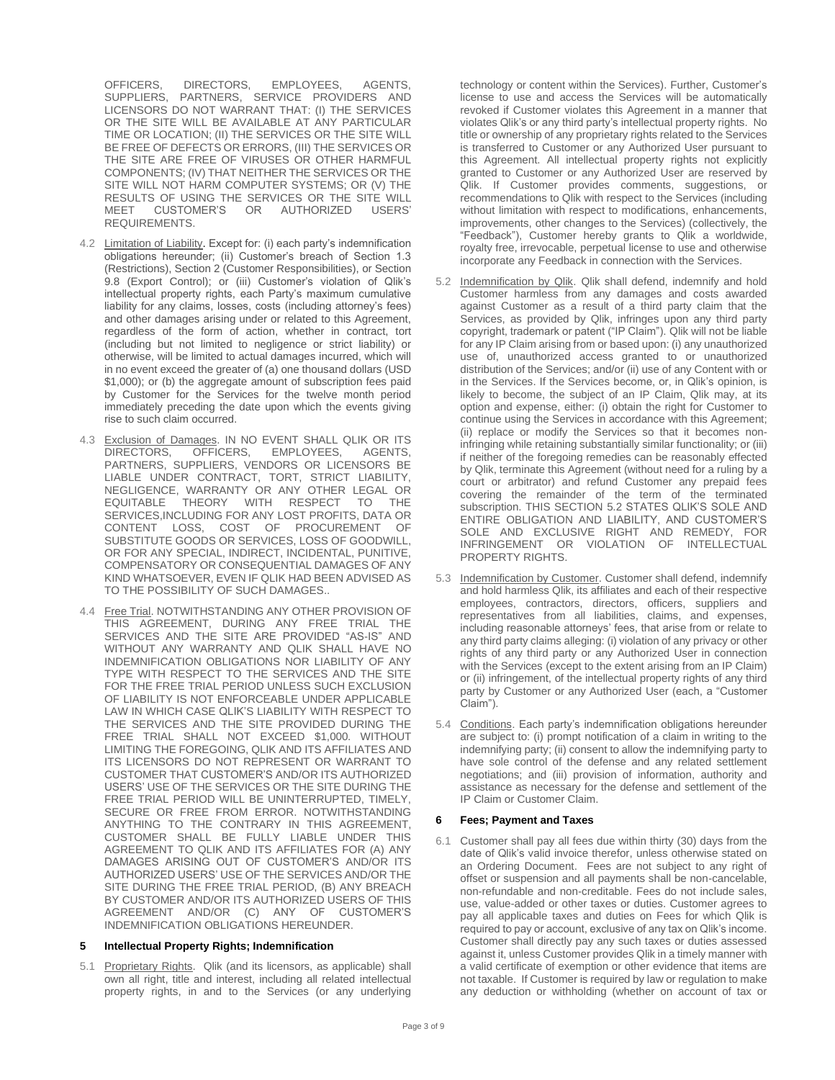OFFICERS, DIRECTORS, EMPLOYEES, AGENTS, SUPPLIERS, PARTNERS, SERVICE PROVIDERS AND LICENSORS DO NOT WARRANT THAT: (I) THE SERVICES OR THE SITE WILL BE AVAILABLE AT ANY PARTICULAR TIME OR LOCATION; (II) THE SERVICES OR THE SITE WILL BE FREE OF DEFECTS OR ERRORS, (III) THE SERVICES OR THE SITE ARE FREE OF VIRUSES OR OTHER HARMFUL COMPONENTS; (IV) THAT NEITHER THE SERVICES OR THE SITE WILL NOT HARM COMPUTER SYSTEMS; OR (V) THE RESULTS OF USING THE SERVICES OR THE SITE WILL<br>MEET CUSTOMER'S OR AUTHORIZED USERS' CUSTOMER'S OR AUTHORIZED REQUIREMENTS.

- 4.2 Limitation of Liability. Except for: (i) each party's indemnification obligations hereunder; (ii) Customer's breach of Section 1.3 (Restrictions), Section 2 (Customer Responsibilities), or Section 9.8 (Export Control); or (iii) Customer's violation of Qlik's intellectual property rights, each Party's maximum cumulative liability for any claims, losses, costs (including attorney's fees) and other damages arising under or related to this Agreement, regardless of the form of action, whether in contract, tort (including but not limited to negligence or strict liability) or otherwise, will be limited to actual damages incurred, which will in no event exceed the greater of (a) one thousand dollars (USD \$1,000); or (b) the aggregate amount of subscription fees paid by Customer for the Services for the twelve month period immediately preceding the date upon which the events giving rise to such claim occurred.
- 4.3 Exclusion of Damages. IN NO EVENT SHALL QLIK OR ITS<br>DIRECTORS, OFFICERS, EMPLOYEES, AGENTS, DIRECTORS, OFFICERS, EMPLOYEES, AGENTS, PARTNERS, SUPPLIERS, VENDORS OR LICENSORS BE LIABLE UNDER CONTRACT, TORT, STRICT LIABILITY, NEGLIGENCE, WARRANTY OR ANY OTHER LEGAL OR EQUITABLE THEORY WITH RESPECT TO THE SERVICES, INCLUDING FOR ANY LOST PROFITS, DATA OR CONTENT LOSS, COST OF PROCUREMENT OF CONTENT LOSS, COST OF PROCUREMENT OF SUBSTITUTE GOODS OR SERVICES, LOSS OF GOODWILL, OR FOR ANY SPECIAL, INDIRECT, INCIDENTAL, PUNITIVE, COMPENSATORY OR CONSEQUENTIAL DAMAGES OF ANY KIND WHATSOEVER, EVEN IF QLIK HAD BEEN ADVISED AS TO THE POSSIBILITY OF SUCH DAMAGES..
- 4.4 Free Trial. NOTWITHSTANDING ANY OTHER PROVISION OF THIS AGREEMENT, DURING ANY FREE TRIAL THE SERVICES AND THE SITE ARE PROVIDED "AS-IS" AND WITHOUT ANY WARRANTY AND QLIK SHALL HAVE NO INDEMNIFICATION OBLIGATIONS NOR LIABILITY OF ANY TYPE WITH RESPECT TO THE SERVICES AND THE SITE FOR THE FREE TRIAL PERIOD UNLESS SUCH EXCLUSION OF LIABILITY IS NOT ENFORCEABLE UNDER APPLICABLE LAW IN WHICH CASE QLIK'S LIABILITY WITH RESPECT TO THE SERVICES AND THE SITE PROVIDED DURING THE FREE TRIAL SHALL NOT EXCEED \$1,000. WITHOUT LIMITING THE FOREGOING, QLIK AND ITS AFFILIATES AND ITS LICENSORS DO NOT REPRESENT OR WARRANT TO CUSTOMER THAT CUSTOMER'S AND/OR ITS AUTHORIZED USERS' USE OF THE SERVICES OR THE SITE DURING THE FREE TRIAL PERIOD WILL BE UNINTERRUPTED, TIMELY, SECURE OR FREE FROM ERROR. NOTWITHSTANDING ANYTHING TO THE CONTRARY IN THIS AGREEMENT, CUSTOMER SHALL BE FULLY LIABLE UNDER THIS AGREEMENT TO QLIK AND ITS AFFILIATES FOR (A) ANY DAMAGES ARISING OUT OF CUSTOMER'S AND/OR ITS AUTHORIZED USERS' USE OF THE SERVICES AND/OR THE SITE DURING THE FREE TRIAL PERIOD, (B) ANY BREACH BY CUSTOMER AND/OR ITS AUTHORIZED USERS OF THIS AGREEMENT AND/OR (C) ANY OF CUSTOMER'S INDEMNIFICATION OBLIGATIONS HEREUNDER.

## **5 Intellectual Property Rights; Indemnification**

5.1 Proprietary Rights. Qlik (and its licensors, as applicable) shall own all right, title and interest, including all related intellectual property rights, in and to the Services (or any underlying technology or content within the Services). Further, Customer's license to use and access the Services will be automatically revoked if Customer violates this Agreement in a manner that violates Qlik's or any third party's intellectual property rights. No title or ownership of any proprietary rights related to the Services is transferred to Customer or any Authorized User pursuant to this Agreement. All intellectual property rights not explicitly granted to Customer or any Authorized User are reserved by Qlik. If Customer provides comments, suggestions, or recommendations to Qlik with respect to the Services (including without limitation with respect to modifications, enhancements, improvements, other changes to the Services) (collectively, the "Feedback"), Customer hereby grants to Qlik a worldwide, royalty free, irrevocable, perpetual license to use and otherwise incorporate any Feedback in connection with the Services.

- 5.2 Indemnification by Qlik. Qlik shall defend, indemnify and hold Customer harmless from any damages and costs awarded against Customer as a result of a third party claim that the Services, as provided by Qlik, infringes upon any third party copyright, trademark or patent ("IP Claim"). Qlik will not be liable for any IP Claim arising from or based upon: (i) any unauthorized use of, unauthorized access granted to or unauthorized distribution of the Services; and/or (ii) use of any Content with or in the Services. If the Services become, or, in Qlik's opinion, is likely to become, the subject of an IP Claim, Qlik may, at its option and expense, either: (i) obtain the right for Customer to continue using the Services in accordance with this Agreement; (ii) replace or modify the Services so that it becomes noninfringing while retaining substantially similar functionality; or (iii) if neither of the foregoing remedies can be reasonably effected by Qlik, terminate this Agreement (without need for a ruling by a court or arbitrator) and refund Customer any prepaid fees covering the remainder of the term of the terminated subscription. THIS SECTION 5.2 STATES QLIK'S SOLE AND ENTIRE OBLIGATION AND LIABILITY, AND CUSTOMER'S SOLE AND EXCLUSIVE RIGHT AND REMEDY, FOR INFRINGEMENT OR VIOLATION OF INTELLECTUAL PROPERTY RIGHTS.
- 5.3 Indemnification by Customer. Customer shall defend, indemnify and hold harmless Qlik, its affiliates and each of their respective employees, contractors, directors, officers, suppliers and representatives from all liabilities, claims, and expenses, including reasonable attorneys' fees, that arise from or relate to any third party claims alleging: (i) violation of any privacy or other rights of any third party or any Authorized User in connection with the Services (except to the extent arising from an IP Claim) or (ii) infringement, of the intellectual property rights of any third party by Customer or any Authorized User (each, a "Customer Claim").
- 5.4 Conditions. Each party's indemnification obligations hereunder are subject to: (i) prompt notification of a claim in writing to the indemnifying party; (ii) consent to allow the indemnifying party to have sole control of the defense and any related settlement negotiations; and (iii) provision of information, authority and assistance as necessary for the defense and settlement of the IP Claim or Customer Claim.

## **6 Fees; Payment and Taxes**

6.1 Customer shall pay all fees due within thirty (30) days from the date of Qlik's valid invoice therefor, unless otherwise stated on an Ordering Document. Fees are not subject to any right of offset or suspension and all payments shall be non-cancelable, non-refundable and non-creditable. Fees do not include sales, use, value-added or other taxes or duties. Customer agrees to pay all applicable taxes and duties on Fees for which Qlik is required to pay or account, exclusive of any tax on Qlik's income. Customer shall directly pay any such taxes or duties assessed against it, unless Customer provides Qlik in a timely manner with a valid certificate of exemption or other evidence that items are not taxable. If Customer is required by law or regulation to make any deduction or withholding (whether on account of tax or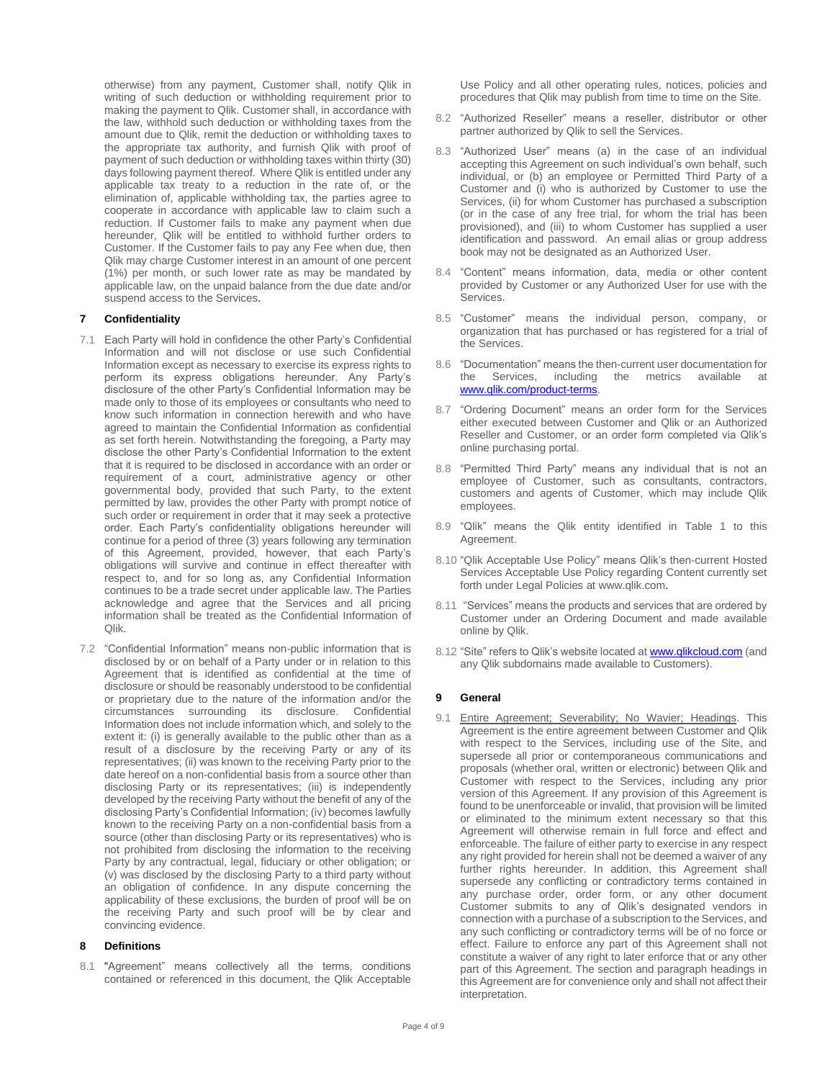otherwise) from any payment, Customer shall, notify Qlik in writing of such deduction or withholding requirement prior to making the payment to Qlik. Customer shall, in accordance with the law, withhold such deduction or withholding taxes from the amount due to Qlik, remit the deduction or withholding taxes to the appropriate tax authority, and furnish Qlik with proof of payment of such deduction or withholding taxes within thirty (30) days following payment thereof. Where Qlik is entitled under any applicable tax treaty to a reduction in the rate of, or the elimination of, applicable withholding tax, the parties agree to cooperate in accordance with applicable law to claim such a reduction. If Customer fails to make any payment when due hereunder, Qlik will be entitled to withhold further orders to Customer. If the Customer fails to pay any Fee when due, then Qlik may charge Customer interest in an amount of one percent (1%) per month, or such lower rate as may be mandated by applicable law, on the unpaid balance from the due date and/or suspend access to the Services.

## **7 Confidentiality**

- 7.1 Each Party will hold in confidence the other Party's Confidential Information and will not disclose or use such Confidential Information except as necessary to exercise its express rights to perform its express obligations hereunder. Any Party's disclosure of the other Party's Confidential Information may be made only to those of its employees or consultants who need to know such information in connection herewith and who have agreed to maintain the Confidential Information as confidential as set forth herein. Notwithstanding the foregoing, a Party may disclose the other Party's Confidential Information to the extent that it is required to be disclosed in accordance with an order or requirement of a court, administrative agency or other governmental body, provided that such Party, to the extent permitted by law, provides the other Party with prompt notice of such order or requirement in order that it may seek a protective order. Each Party's confidentiality obligations hereunder will continue for a period of three (3) years following any termination of this Agreement, provided, however, that each Party's obligations will survive and continue in effect thereafter with respect to, and for so long as, any Confidential Information continues to be a trade secret under applicable law. The Parties acknowledge and agree that the Services and all pricing information shall be treated as the Confidential Information of Qlik.
- 7.2 "Confidential Information" means non-public information that is disclosed by or on behalf of a Party under or in relation to this Agreement that is identified as confidential at the time of disclosure or should be reasonably understood to be confidential or proprietary due to the nature of the information and/or the circumstances surrounding its disclosure. Confidential Information does not include information which, and solely to the extent it: (i) is generally available to the public other than as a result of a disclosure by the receiving Party or any of its representatives; (ii) was known to the receiving Party prior to the date hereof on a non-confidential basis from a source other than disclosing Party or its representatives; (iii) is independently developed by the receiving Party without the benefit of any of the disclosing Party's Confidential Information; (iv) becomes lawfully known to the receiving Party on a non-confidential basis from a source (other than disclosing Party or its representatives) who is not prohibited from disclosing the information to the receiving Party by any contractual, legal, fiduciary or other obligation; or (v) was disclosed by the disclosing Party to a third party without an obligation of confidence. In any dispute concerning the applicability of these exclusions, the burden of proof will be on the receiving Party and such proof will be by clear and convincing evidence.

#### **8 Definitions**

8.1 "Agreement" means collectively all the terms, conditions contained or referenced in this document, the Qlik Acceptable Use Policy and all other operating rules, notices, policies and procedures that Qlik may publish from time to time on the Site.

- 8.2 "Authorized Reseller" means a reseller, distributor or other partner authorized by Qlik to sell the Services.
- 8.3 "Authorized User" means (a) in the case of an individual accepting this Agreement on such individual's own behalf, such individual, or (b) an employee or Permitted Third Party of a Customer and (i) who is authorized by Customer to use the Services, (ii) for whom Customer has purchased a subscription (or in the case of any free trial, for whom the trial has been provisioned), and (iii) to whom Customer has supplied a user identification and password. An email alias or group address book may not be designated as an Authorized User.
- 8.4 "Content" means information, data, media or other content provided by Customer or any Authorized User for use with the Services.
- 8.5 "Customer" means the individual person, company, or organization that has purchased or has registered for a trial of the Services.
- 8.6 "Documentation" means the then-current user documentation for<br>the Services, including the metrics available at the Services, including the metrics available at [www.qlik.com/product-terms.](http://www.qlik.com/product-terms)
- 8.7 "Ordering Document" means an order form for the Services either executed between Customer and Qlik or an Authorized Reseller and Customer, or an order form completed via Qlik's online purchasing portal.
- 8.8 "Permitted Third Party" means any individual that is not an employee of Customer, such as consultants, contractors, customers and agents of Customer, which may include Qlik employees.
- 8.9 "Qlik" means the Qlik entity identified in Table 1 to this Agreement.
- 8.10 "Qlik Acceptable Use Policy" means Qlik's then-current Hosted Services Acceptable Use Policy regarding Content currently set forth under Legal Policies at www.qlik.com.
- 8.11 "Services" means the products and services that are ordered by Customer under an Ordering Document and made available online by Qlik.
- 8.12 "Site" refers to Qlik's website located a[t www.qlikcloud.com](http://www.qlikcloud.com/) (and any Qlik subdomains made available to Customers).

## **9 General**

9.1 Entire Agreement; Severability; No Wavier; Headings. This Agreement is the entire agreement between Customer and Qlik with respect to the Services, including use of the Site, and supersede all prior or contemporaneous communications and proposals (whether oral, written or electronic) between Qlik and Customer with respect to the Services, including any prior version of this Agreement. If any provision of this Agreement is found to be unenforceable or invalid, that provision will be limited or eliminated to the minimum extent necessary so that this Agreement will otherwise remain in full force and effect and enforceable. The failure of either party to exercise in any respect any right provided for herein shall not be deemed a waiver of any further rights hereunder. In addition, this Agreement shall supersede any conflicting or contradictory terms contained in any purchase order, order form, or any other document Customer submits to any of Qlik's designated vendors in connection with a purchase of a subscription to the Services, and any such conflicting or contradictory terms will be of no force or effect. Failure to enforce any part of this Agreement shall not constitute a waiver of any right to later enforce that or any other part of this Agreement. The section and paragraph headings in this Agreement are for convenience only and shall not affect their interpretation.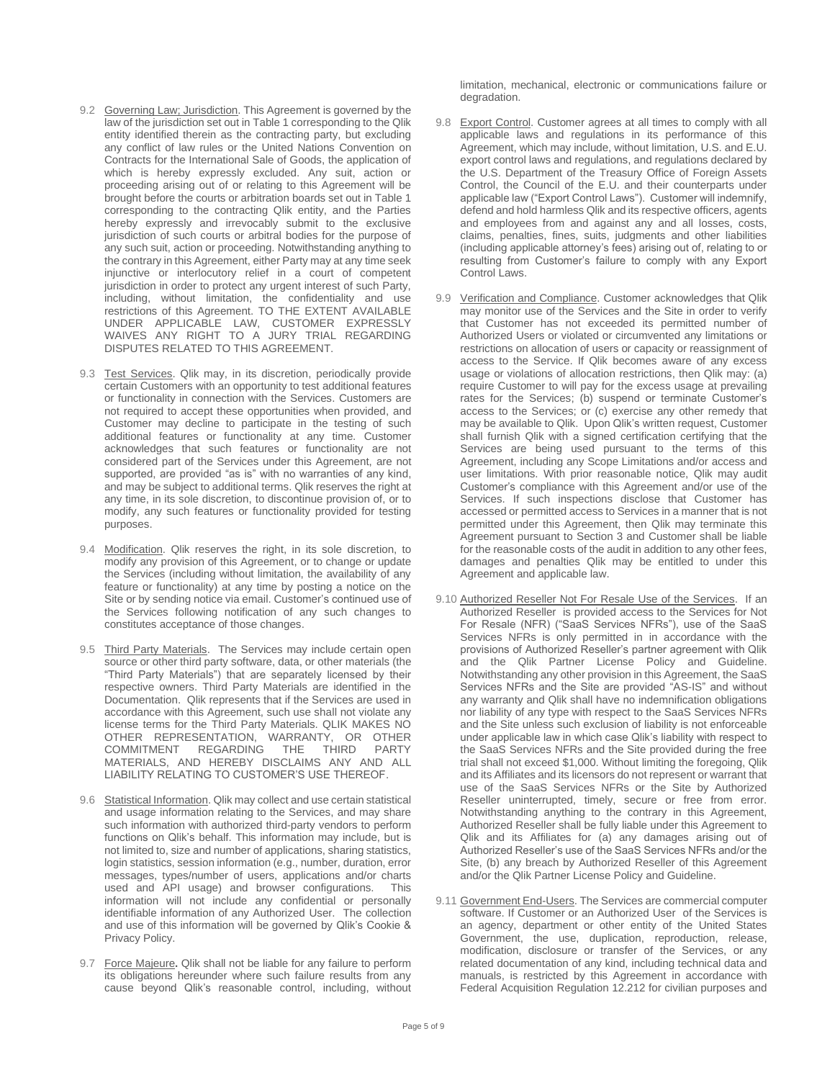- 9.2 Governing Law; Jurisdiction. This Agreement is governed by the law of the jurisdiction set out in Table 1 corresponding to the Qlik entity identified therein as the contracting party, but excluding any conflict of law rules or the United Nations Convention on Contracts for the International Sale of Goods, the application of which is hereby expressly excluded. Any suit, action or proceeding arising out of or relating to this Agreement will be brought before the courts or arbitration boards set out in Table 1 corresponding to the contracting Qlik entity, and the Parties hereby expressly and irrevocably submit to the exclusive jurisdiction of such courts or arbitral bodies for the purpose of any such suit, action or proceeding. Notwithstanding anything to the contrary in this Agreement, either Party may at any time seek injunctive or interlocutory relief in a court of competent jurisdiction in order to protect any urgent interest of such Party, including, without limitation, the confidentiality and use restrictions of this Agreement. TO THE EXTENT AVAILABLE UNDER APPLICABLE LAW, CUSTOMER EXPRESSLY WAIVES ANY RIGHT TO A JURY TRIAL REGARDING DISPUTES RELATED TO THIS AGREEMENT.
- 9.3 Test Services. Qlik may, in its discretion, periodically provide certain Customers with an opportunity to test additional features or functionality in connection with the Services. Customers are not required to accept these opportunities when provided, and Customer may decline to participate in the testing of such additional features or functionality at any time. Customer acknowledges that such features or functionality are not considered part of the Services under this Agreement, are not supported, are provided "as is" with no warranties of any kind, and may be subject to additional terms. Qlik reserves the right at any time, in its sole discretion, to discontinue provision of, or to modify, any such features or functionality provided for testing purposes.
- 9.4 Modification. Qlik reserves the right, in its sole discretion, to modify any provision of this Agreement, or to change or update the Services (including without limitation, the availability of any feature or functionality) at any time by posting a notice on the Site or by sending notice via email. Customer's continued use of the Services following notification of any such changes to constitutes acceptance of those changes.
- 9.5 Third Party Materials. The Services may include certain open source or other third party software, data, or other materials (the "Third Party Materials") that are separately licensed by their respective owners. Third Party Materials are identified in the Documentation. Qlik represents that if the Services are used in accordance with this Agreement, such use shall not violate any license terms for the Third Party Materials. QLIK MAKES NO OTHER REPRESENTATION, WARRANTY, OR OTHER THE THIRD MATERIALS, AND HEREBY DISCLAIMS ANY AND ALL LIABILITY RELATING TO CUSTOMER'S USE THEREOF.
- 9.6 Statistical Information. Qlik may collect and use certain statistical and usage information relating to the Services, and may share such information with authorized third-party vendors to perform functions on Qlik's behalf. This information may include, but is not limited to, size and number of applications, sharing statistics, login statistics, session information (e.g., number, duration, error messages, types/number of users, applications and/or charts used and API usage) and browser configurations. This information will not include any confidential or personally identifiable information of any Authorized User. The collection and use of this information will be governed by Qlik's Cookie & Privacy Policy.
- 9.7 Force Majeure**.** Qlik shall not be liable for any failure to perform its obligations hereunder where such failure results from any cause beyond Qlik's reasonable control, including, without

limitation, mechanical, electronic or communications failure or degradation.

- 9.8 Export Control. Customer agrees at all times to comply with all applicable laws and regulations in its performance of this Agreement, which may include, without limitation, U.S. and E.U. export control laws and regulations, and regulations declared by the U.S. Department of the Treasury Office of Foreign Assets Control, the Council of the E.U. and their counterparts under applicable law ("Export Control Laws"). Customer will indemnify, defend and hold harmless Qlik and its respective officers, agents and employees from and against any and all losses, costs, claims, penalties, fines, suits, judgments and other liabilities (including applicable attorney's fees) arising out of, relating to or resulting from Customer's failure to comply with any Export Control Laws.
- 9.9 Verification and Compliance. Customer acknowledges that Qlik may monitor use of the Services and the Site in order to verify that Customer has not exceeded its permitted number of Authorized Users or violated or circumvented any limitations or restrictions on allocation of users or capacity or reassignment of access to the Service. If Qlik becomes aware of any excess usage or violations of allocation restrictions, then Qlik may: (a) require Customer to will pay for the excess usage at prevailing rates for the Services; (b) suspend or terminate Customer's access to the Services; or (c) exercise any other remedy that may be available to Qlik. Upon Qlik's written request, Customer shall furnish Qlik with a signed certification certifying that the Services are being used pursuant to the terms of this Agreement, including any Scope Limitations and/or access and user limitations. With prior reasonable notice, Qlik may audit Customer's compliance with this Agreement and/or use of the Services. If such inspections disclose that Customer has accessed or permitted access to Services in a manner that is not permitted under this Agreement, then Qlik may terminate this Agreement pursuant to Section 3 and Customer shall be liable for the reasonable costs of the audit in addition to any other fees, damages and penalties Qlik may be entitled to under this Agreement and applicable law.
- 9.10 Authorized Reseller Not For Resale Use of the Services. If an Authorized Reseller is provided access to the Services for Not For Resale (NFR) ("SaaS Services NFRs"), use of the SaaS Services NFRs is only permitted in in accordance with the provisions of Authorized Reseller's partner agreement with Qlik and the Qlik Partner License Policy and Guideline. Notwithstanding any other provision in this Agreement, the SaaS Services NFRs and the Site are provided "AS-IS" and without any warranty and Qlik shall have no indemnification obligations nor liability of any type with respect to the SaaS Services NFRs and the Site unless such exclusion of liability is not enforceable under applicable law in which case Qlik's liability with respect to the SaaS Services NFRs and the Site provided during the free trial shall not exceed \$1,000. Without limiting the foregoing, Qlik and its Affiliates and its licensors do not represent or warrant that use of the SaaS Services NFRs or the Site by Authorized Reseller uninterrupted, timely, secure or free from error. Notwithstanding anything to the contrary in this Agreement, Authorized Reseller shall be fully liable under this Agreement to Qlik and its Affiliates for (a) any damages arising out of Authorized Reseller's use of the SaaS Services NFRs and/or the Site, (b) any breach by Authorized Reseller of this Agreement and/or the Qlik Partner License Policy and Guideline.
- 9.11 Government End-Users. The Services are commercial computer software. If Customer or an Authorized User of the Services is an agency, department or other entity of the United States Government, the use, duplication, reproduction, release, modification, disclosure or transfer of the Services, or any related documentation of any kind, including technical data and manuals, is restricted by this Agreement in accordance with Federal Acquisition Regulation 12.212 for civilian purposes and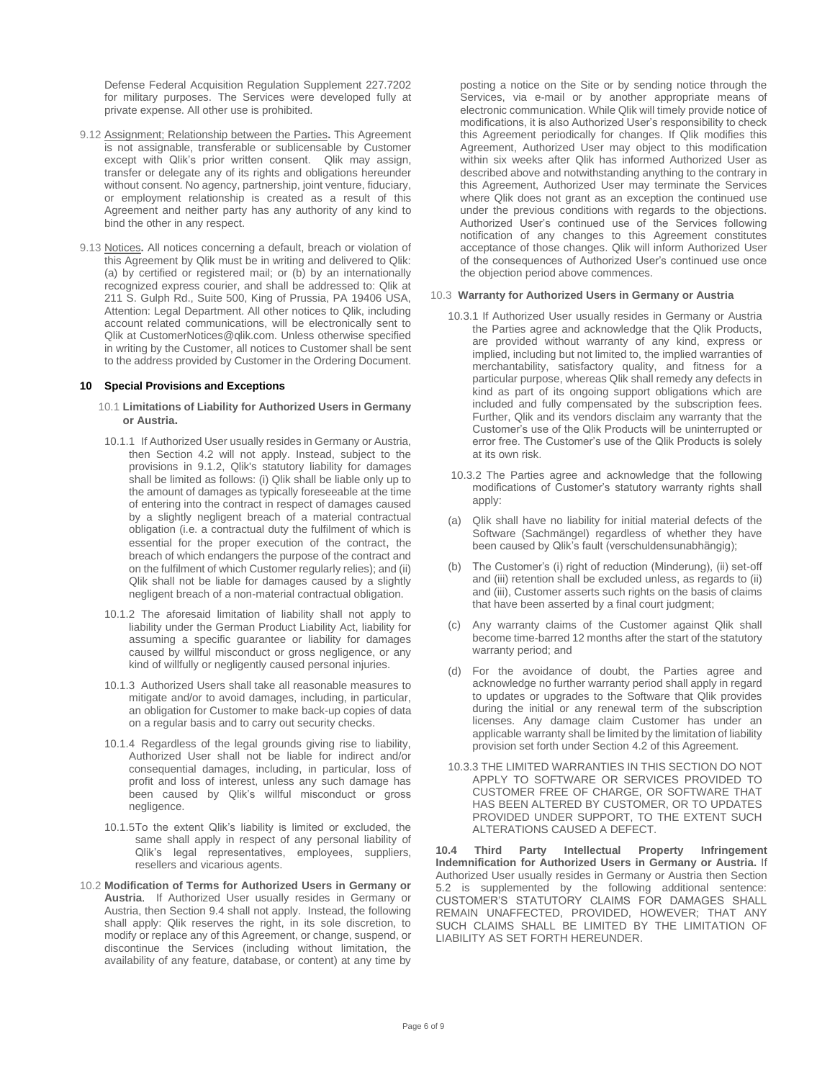Defense Federal Acquisition Regulation Supplement 227.7202 for military purposes. The Services were developed fully at private expense. All other use is prohibited.

- 9.12 Assignment; Relationship between the Parties**.** This Agreement is not assignable, transferable or sublicensable by Customer except with Qlik's prior written consent. Qlik may assign, transfer or delegate any of its rights and obligations hereunder without consent. No agency, partnership, joint venture, fiduciary, or employment relationship is created as a result of this Agreement and neither party has any authority of any kind to bind the other in any respect.
- 9.13 Notices**.** All notices concerning a default, breach or violation of this Agreement by Qlik must be in writing and delivered to Qlik: (a) by certified or registered mail; or (b) by an internationally recognized express courier, and shall be addressed to: Qlik at 211 S. Gulph Rd., Suite 500, King of Prussia, PA 19406 USA, Attention: Legal Department. All other notices to Qlik, including account related communications, will be electronically sent to Qlik at CustomerNotices@qlik.com. Unless otherwise specified in writing by the Customer, all notices to Customer shall be sent to the address provided by Customer in the Ordering Document.

#### **10 Special Provisions and Exceptions**

- 10.1 **Limitations of Liability for Authorized Users in Germany or Austria.**
- 10.1.1 If Authorized User usually resides in Germany or Austria, then Section 4.2 will not apply. Instead, subject to the provisions in 9.1.2, Qlik's statutory liability for damages shall be limited as follows: (i) Qlik shall be liable only up to the amount of damages as typically foreseeable at the time of entering into the contract in respect of damages caused by a slightly negligent breach of a material contractual obligation (i.e. a contractual duty the fulfilment of which is essential for the proper execution of the contract, the breach of which endangers the purpose of the contract and on the fulfilment of which Customer regularly relies); and (ii) Qlik shall not be liable for damages caused by a slightly negligent breach of a non-material contractual obligation.
- 10.1.2 The aforesaid limitation of liability shall not apply to liability under the German Product Liability Act, liability for assuming a specific guarantee or liability for damages caused by willful misconduct or gross negligence, or any kind of willfully or negligently caused personal injuries.
- 10.1.3 Authorized Users shall take all reasonable measures to mitigate and/or to avoid damages, including, in particular, an obligation for Customer to make back-up copies of data on a regular basis and to carry out security checks.
- 10.1.4 Regardless of the legal grounds giving rise to liability, Authorized User shall not be liable for indirect and/or consequential damages, including, in particular, loss of profit and loss of interest, unless any such damage has been caused by Qlik's willful misconduct or gross negligence.
- 10.1.5To the extent Qlik's liability is limited or excluded, the same shall apply in respect of any personal liability of Qlik's legal representatives, employees, suppliers, resellers and vicarious agents.
- 10.2 **Modification of Terms for Authorized Users in Germany or Austria**. If Authorized User usually resides in Germany or Austria, then Section 9.4 shall not apply. Instead, the following shall apply: Qlik reserves the right, in its sole discretion, to modify or replace any of this Agreement, or change, suspend, or discontinue the Services (including without limitation, the availability of any feature, database, or content) at any time by

posting a notice on the Site or by sending notice through the Services, via e-mail or by another appropriate means of electronic communication. While Qlik will timely provide notice of modifications, it is also Authorized User's responsibility to check this Agreement periodically for changes. If Qlik modifies this Agreement, Authorized User may object to this modification within six weeks after Qlik has informed Authorized User as described above and notwithstanding anything to the contrary in this Agreement, Authorized User may terminate the Services where Qlik does not grant as an exception the continued use under the previous conditions with regards to the objections. Authorized User's continued use of the Services following notification of any changes to this Agreement constitutes acceptance of those changes. Qlik will inform Authorized User of the consequences of Authorized User's continued use once the objection period above commences.

#### 10.3 **Warranty for Authorized Users in Germany or Austria**

- 10.3.1 If Authorized User usually resides in Germany or Austria the Parties agree and acknowledge that the Qlik Products, are provided without warranty of any kind, express or implied, including but not limited to, the implied warranties of merchantability, satisfactory quality, and fitness for a particular purpose, whereas Qlik shall remedy any defects in kind as part of its ongoing support obligations which are included and fully compensated by the subscription fees. Further, Qlik and its vendors disclaim any warranty that the Customer's use of the Qlik Products will be uninterrupted or error free. The Customer's use of the Qlik Products is solely at its own risk.
- 10.3.2 The Parties agree and acknowledge that the following modifications of Customer's statutory warranty rights shall apply:
- (a) Qlik shall have no liability for initial material defects of the Software (Sachmängel) regardless of whether they have been caused by Qlik's fault (verschuldensunabhängig);
- (b) The Customer's (i) right of reduction (Minderung), (ii) set-off and (iii) retention shall be excluded unless, as regards to (ii) and (iii), Customer asserts such rights on the basis of claims that have been asserted by a final court judgment;
- (c) Any warranty claims of the Customer against Qlik shall become time-barred 12 months after the start of the statutory warranty period; and
- (d) For the avoidance of doubt, the Parties agree and acknowledge no further warranty period shall apply in regard to updates or upgrades to the Software that Qlik provides during the initial or any renewal term of the subscription licenses. Any damage claim Customer has under an applicable warranty shall be limited by the limitation of liability provision set forth under Section 4.2 of this Agreement.
- 10.3.3 THE LIMITED WARRANTIES IN THIS SECTION DO NOT APPLY TO SOFTWARE OR SERVICES PROVIDED TO CUSTOMER FREE OF CHARGE, OR SOFTWARE THAT HAS BEEN ALTERED BY CUSTOMER, OR TO UPDATES PROVIDED UNDER SUPPORT, TO THE EXTENT SUCH ALTERATIONS CAUSED A DEFECT.

**10.4 Third Party Intellectual Property Infringement Indemnification for Authorized Users in Germany or Austria.** If Authorized User usually resides in Germany or Austria then Section 5.2 is supplemented by the following additional sentence: CUSTOMER'S STATUTORY CLAIMS FOR DAMAGES SHALL REMAIN UNAFFECTED, PROVIDED, HOWEVER; THAT ANY SUCH CLAIMS SHALL BE LIMITED BY THE LIMITATION OF LIABILITY AS SET FORTH HEREUNDER.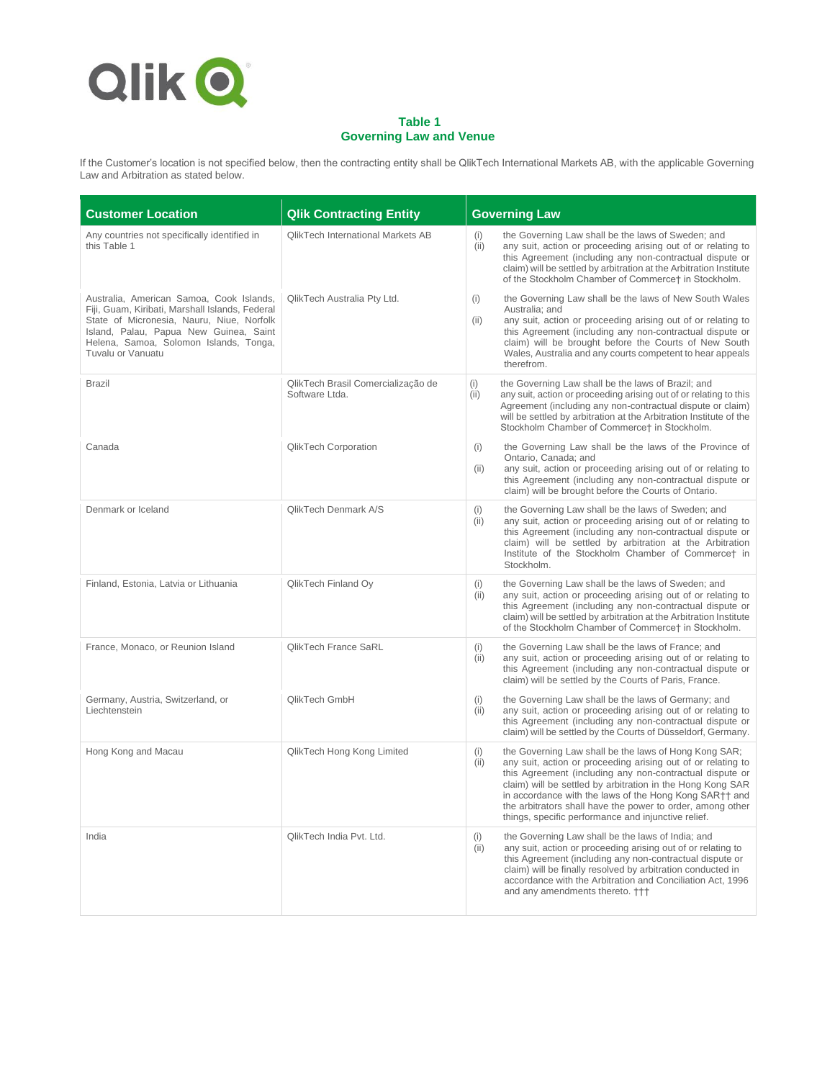

# **Table 1 Governing Law and Venue**

If the Customer's location is not specified below, then the contracting entity shall be QlikTech International Markets AB, with the applicable Governing Law and Arbitration as stated below.

| <b>Customer Location</b>                                                                                                                                                                                                                          | <b>Qlik Contracting Entity</b>                       | <b>Governing Law</b>                                                                                                                                                                                                                                                                                                                                                                                                                          |
|---------------------------------------------------------------------------------------------------------------------------------------------------------------------------------------------------------------------------------------------------|------------------------------------------------------|-----------------------------------------------------------------------------------------------------------------------------------------------------------------------------------------------------------------------------------------------------------------------------------------------------------------------------------------------------------------------------------------------------------------------------------------------|
| Any countries not specifically identified in<br>this Table 1                                                                                                                                                                                      | <b>OlikTech International Markets AB</b>             | the Governing Law shall be the laws of Sweden; and<br>(i)<br>any suit, action or proceeding arising out of or relating to<br>(ii)<br>this Agreement (including any non-contractual dispute or<br>claim) will be settled by arbitration at the Arbitration Institute<br>of the Stockholm Chamber of Commerce† in Stockholm.                                                                                                                    |
| Australia, American Samoa, Cook Islands,<br>Fiji, Guam, Kiribati, Marshall Islands, Federal<br>State of Micronesia, Nauru, Niue, Norfolk<br>Island, Palau, Papua New Guinea, Saint<br>Helena, Samoa, Solomon Islands, Tonga,<br>Tuvalu or Vanuatu | QlikTech Australia Pty Ltd.                          | the Governing Law shall be the laws of New South Wales<br>(i)<br>Australia; and<br>any suit, action or proceeding arising out of or relating to<br>(ii)<br>this Agreement (including any non-contractual dispute or<br>claim) will be brought before the Courts of New South<br>Wales, Australia and any courts competent to hear appeals<br>therefrom.                                                                                       |
| <b>Brazil</b>                                                                                                                                                                                                                                     | QlikTech Brasil Comercialização de<br>Software Ltda. | (i)<br>the Governing Law shall be the laws of Brazil; and<br>any suit, action or proceeding arising out of or relating to this<br>(ii)<br>Agreement (including any non-contractual dispute or claim)<br>will be settled by arbitration at the Arbitration Institute of the<br>Stockholm Chamber of Commerce† in Stockholm.                                                                                                                    |
| Canada                                                                                                                                                                                                                                            | QlikTech Corporation                                 | the Governing Law shall be the laws of the Province of<br>(i)<br>Ontario, Canada; and<br>any suit, action or proceeding arising out of or relating to<br>(ii)<br>this Agreement (including any non-contractual dispute or<br>claim) will be brought before the Courts of Ontario.                                                                                                                                                             |
| Denmark or Iceland                                                                                                                                                                                                                                | QlikTech Denmark A/S                                 | the Governing Law shall be the laws of Sweden; and<br>(i)<br>(ii)<br>any suit, action or proceeding arising out of or relating to<br>this Agreement (including any non-contractual dispute or<br>claim) will be settled by arbitration at the Arbitration<br>Institute of the Stockholm Chamber of Commercet in<br>Stockholm.                                                                                                                 |
| Finland, Estonia, Latvia or Lithuania                                                                                                                                                                                                             | QlikTech Finland Oy                                  | the Governing Law shall be the laws of Sweden; and<br>(i)<br>any suit, action or proceeding arising out of or relating to<br>(ii)<br>this Agreement (including any non-contractual dispute or<br>claim) will be settled by arbitration at the Arbitration Institute<br>of the Stockholm Chamber of Commerce† in Stockholm.                                                                                                                    |
| France, Monaco, or Reunion Island                                                                                                                                                                                                                 | QlikTech France SaRL                                 | the Governing Law shall be the laws of France; and<br>(i)<br>any suit, action or proceeding arising out of or relating to<br>(ii)<br>this Agreement (including any non-contractual dispute or<br>claim) will be settled by the Courts of Paris, France.                                                                                                                                                                                       |
| Germany, Austria, Switzerland, or<br>Liechtenstein                                                                                                                                                                                                | QlikTech GmbH                                        | the Governing Law shall be the laws of Germany; and<br>(i)<br>any suit, action or proceeding arising out of or relating to<br>(ii)<br>this Agreement (including any non-contractual dispute or<br>claim) will be settled by the Courts of Düsseldorf, Germany.                                                                                                                                                                                |
| Hong Kong and Macau                                                                                                                                                                                                                               | QlikTech Hong Kong Limited                           | the Governing Law shall be the laws of Hong Kong SAR;<br>(i)<br>any suit, action or proceeding arising out of or relating to<br>(ii)<br>this Agreement (including any non-contractual dispute or<br>claim) will be settled by arbitration in the Hong Kong SAR<br>in accordance with the laws of the Hong Kong SAR†† and<br>the arbitrators shall have the power to order, among other<br>things, specific performance and injunctive relief. |
| India                                                                                                                                                                                                                                             | QlikTech India Pvt. Ltd.                             | the Governing Law shall be the laws of India; and<br>(i)<br>(ii)<br>any suit, action or proceeding arising out of or relating to<br>this Agreement (including any non-contractual dispute or<br>claim) will be finally resolved by arbitration conducted in<br>accordance with the Arbitration and Conciliation Act, 1996<br>and any amendments thereto. †††                                                                                  |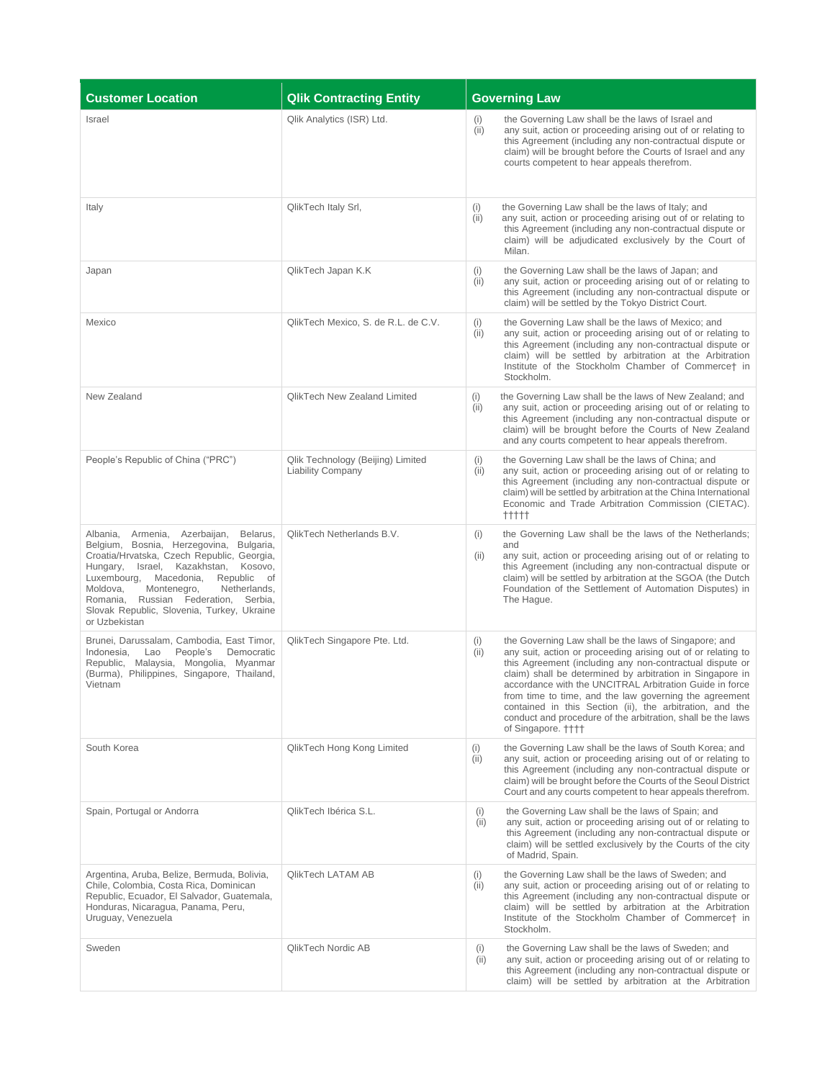| <b>Customer Location</b>                                                                                                                                                                                                                                                                                                                                                       | <b>Qlik Contracting Entity</b>                                | <b>Governing Law</b>                                                                                                                                                                                                                                                                                                                                                                                                                                                                                                                |
|--------------------------------------------------------------------------------------------------------------------------------------------------------------------------------------------------------------------------------------------------------------------------------------------------------------------------------------------------------------------------------|---------------------------------------------------------------|-------------------------------------------------------------------------------------------------------------------------------------------------------------------------------------------------------------------------------------------------------------------------------------------------------------------------------------------------------------------------------------------------------------------------------------------------------------------------------------------------------------------------------------|
| <b>Israel</b>                                                                                                                                                                                                                                                                                                                                                                  | Qlik Analytics (ISR) Ltd.                                     | the Governing Law shall be the laws of Israel and<br>(i)<br>(ii)<br>any suit, action or proceeding arising out of or relating to<br>this Agreement (including any non-contractual dispute or<br>claim) will be brought before the Courts of Israel and any<br>courts competent to hear appeals therefrom.                                                                                                                                                                                                                           |
| Italy                                                                                                                                                                                                                                                                                                                                                                          | QlikTech Italy Srl,                                           | the Governing Law shall be the laws of Italy; and<br>(i)<br>any suit, action or proceeding arising out of or relating to<br>(ii)<br>this Agreement (including any non-contractual dispute or<br>claim) will be adjudicated exclusively by the Court of<br>Milan.                                                                                                                                                                                                                                                                    |
| Japan                                                                                                                                                                                                                                                                                                                                                                          | QlikTech Japan K.K                                            | (i)<br>the Governing Law shall be the laws of Japan; and<br>any suit, action or proceeding arising out of or relating to<br>(ii)<br>this Agreement (including any non-contractual dispute or<br>claim) will be settled by the Tokyo District Court.                                                                                                                                                                                                                                                                                 |
| Mexico                                                                                                                                                                                                                                                                                                                                                                         | QlikTech Mexico, S. de R.L. de C.V.                           | the Governing Law shall be the laws of Mexico; and<br>(i)<br>any suit, action or proceeding arising out of or relating to<br>(ii)<br>this Agreement (including any non-contractual dispute or<br>claim) will be settled by arbitration at the Arbitration<br>Institute of the Stockholm Chamber of Commercet in<br>Stockholm.                                                                                                                                                                                                       |
| New Zealand                                                                                                                                                                                                                                                                                                                                                                    | <b>QlikTech New Zealand Limited</b>                           | the Governing Law shall be the laws of New Zealand; and<br>(i)<br>any suit, action or proceeding arising out of or relating to<br>(ii)<br>this Agreement (including any non-contractual dispute or<br>claim) will be brought before the Courts of New Zealand<br>and any courts competent to hear appeals therefrom.                                                                                                                                                                                                                |
| People's Republic of China ("PRC")                                                                                                                                                                                                                                                                                                                                             | Qlik Technology (Beijing) Limited<br><b>Liability Company</b> | the Governing Law shall be the laws of China; and<br>(i)<br>any suit, action or proceeding arising out of or relating to<br>(ii)<br>this Agreement (including any non-contractual dispute or<br>claim) will be settled by arbitration at the China International<br>Economic and Trade Arbitration Commission (CIETAC).<br>$++++$                                                                                                                                                                                                   |
| Armenia, Azerbaijan,<br>Belarus,<br>Albania,<br>Belgium, Bosnia, Herzegovina, Bulgaria,<br>Croatia/Hrvatska, Czech Republic, Georgia,<br>Israel, Kazakhstan,<br>Kosovo,<br>Hungary,<br>Luxembourg, Macedonia,<br>Republic of<br>Netherlands,<br>Moldova,<br>Montenegro,<br>Romania, Russian Federation, Serbia,<br>Slovak Republic, Slovenia, Turkey, Ukraine<br>or Uzbekistan | QlikTech Netherlands B.V.                                     | the Governing Law shall be the laws of the Netherlands;<br>(i)<br>and<br>any suit, action or proceeding arising out of or relating to<br>(ii)<br>this Agreement (including any non-contractual dispute or<br>claim) will be settled by arbitration at the SGOA (the Dutch<br>Foundation of the Settlement of Automation Disputes) in<br>The Hague.                                                                                                                                                                                  |
| Brunei, Darussalam, Cambodia, East Timor,<br>Indonesia,<br>People's<br>Democratic<br>Lao<br>Republic, Malaysia, Mongolia,<br>Myanmar<br>(Burma), Philippines, Singapore, Thailand,<br>Vietnam                                                                                                                                                                                  | QlikTech Singapore Pte. Ltd.                                  | the Governing Law shall be the laws of Singapore; and<br>(i)<br>any suit, action or proceeding arising out of or relating to<br>(ii)<br>this Agreement (including any non-contractual dispute or<br>claim) shall be determined by arbitration in Singapore in<br>accordance with the UNCITRAL Arbitration Guide in force<br>from time to time, and the law governing the agreement<br>contained in this Section (ii), the arbitration, and the<br>conduct and procedure of the arbitration, shall be the laws<br>of Singapore. ++++ |
| South Korea                                                                                                                                                                                                                                                                                                                                                                    | QlikTech Hong Kong Limited                                    | the Governing Law shall be the laws of South Korea; and<br>(i)<br>any suit, action or proceeding arising out of or relating to<br>(ii)<br>this Agreement (including any non-contractual dispute or<br>claim) will be brought before the Courts of the Seoul District<br>Court and any courts competent to hear appeals therefrom.                                                                                                                                                                                                   |
| Spain, Portugal or Andorra                                                                                                                                                                                                                                                                                                                                                     | QlikTech Ibérica S.L.                                         | the Governing Law shall be the laws of Spain; and<br>(i)<br>any suit, action or proceeding arising out of or relating to<br>(ii)<br>this Agreement (including any non-contractual dispute or<br>claim) will be settled exclusively by the Courts of the city<br>of Madrid, Spain.                                                                                                                                                                                                                                                   |
| Argentina, Aruba, Belize, Bermuda, Bolivia,<br>Chile, Colombia, Costa Rica, Dominican<br>Republic, Ecuador, El Salvador, Guatemala,<br>Honduras, Nicaragua, Panama, Peru,<br>Uruguay, Venezuela                                                                                                                                                                                | QlikTech LATAM AB                                             | the Governing Law shall be the laws of Sweden; and<br>(i)<br>any suit, action or proceeding arising out of or relating to<br>(ii)<br>this Agreement (including any non-contractual dispute or<br>claim) will be settled by arbitration at the Arbitration<br>Institute of the Stockholm Chamber of Commerce† in<br>Stockholm.                                                                                                                                                                                                       |
| Sweden                                                                                                                                                                                                                                                                                                                                                                         | QlikTech Nordic AB                                            | the Governing Law shall be the laws of Sweden; and<br>(i)<br>any suit, action or proceeding arising out of or relating to<br>(ii)<br>this Agreement (including any non-contractual dispute or<br>claim) will be settled by arbitration at the Arbitration                                                                                                                                                                                                                                                                           |